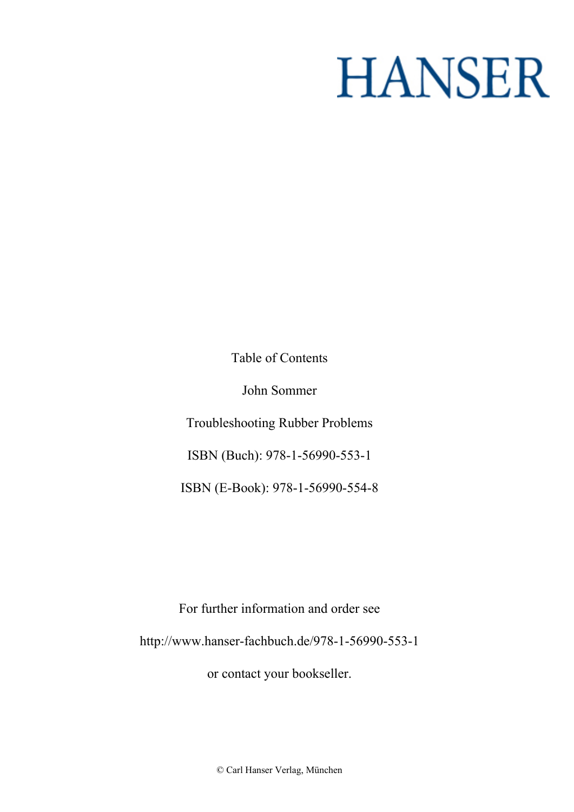## **HANSER**

**Table of Contents**

**John Sommer**

**Troubleshooting Rubber Problems**

**ISBN (Buch): 978-1-56990-553-1**

**ISBN (E-Book): 978-1-56990-554-8**

**For further information and order see <http://www.hanser-fachbuch.de/978-1-56990-553-1>**

**or contact your bookseller.**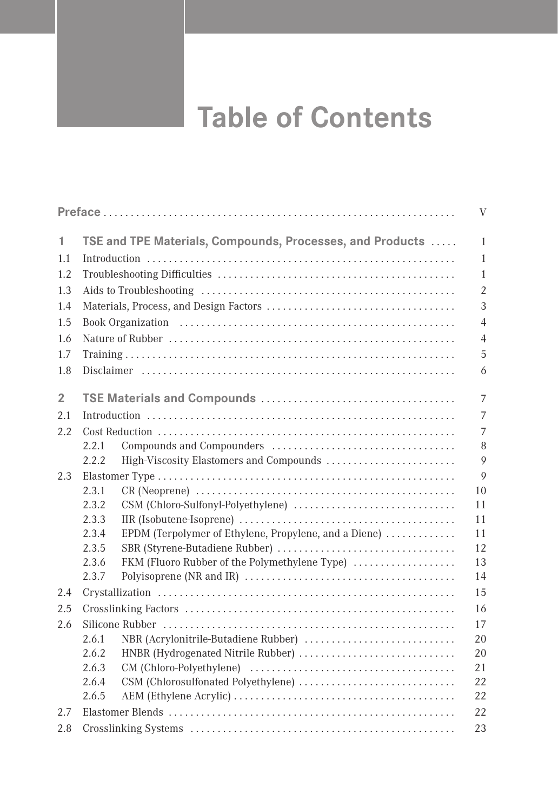## **Table of Contents**

|                |                |                                                           | V              |
|----------------|----------------|-----------------------------------------------------------|----------------|
| 1.             |                | TSE and TPE Materials, Compounds, Processes, and Products | $\mathbf{1}$   |
| 1.1            |                |                                                           | 1              |
| 1.2            |                |                                                           | 1              |
| 1.3            |                |                                                           | $\overline{2}$ |
| 1.4            |                |                                                           | 3              |
| 1.5            |                |                                                           |                |
| 1.6            |                |                                                           | $\overline{4}$ |
| 1.7            |                |                                                           | 5              |
| 1.8            |                |                                                           | 6              |
| $\overline{2}$ |                |                                                           | $\overline{7}$ |
| 2.1            |                |                                                           | 7              |
| 2.2            |                |                                                           | 7              |
|                | 2.2.1          |                                                           | 8              |
|                | 2.2.2          | High-Viscosity Elastomers and Compounds                   | 9              |
| 2.3            |                |                                                           | 9              |
|                | 2.3.1          |                                                           | 10             |
|                | 2.3.2          |                                                           | 11             |
|                | 2.3.3          |                                                           | 11             |
|                | 2.3.4          | EPDM (Terpolymer of Ethylene, Propylene, and a Diene)     | 11             |
|                | 2.3.5          |                                                           | 12             |
|                | 2.3.6          | FKM (Fluoro Rubber of the Polymethylene Type)             | 13             |
|                | 2.3.7          |                                                           | 14             |
| 2.4            |                |                                                           | 15             |
| 2.5            |                |                                                           | 16             |
| 2.6            |                |                                                           | 17             |
|                | 2.6.1          | NBR (Acrylonitrile-Butadiene Rubber)                      | 20             |
|                | 2.6.2          | HNBR (Hydrogenated Nitrile Rubber)                        | 20             |
|                | 2.6.3          |                                                           | 21             |
|                | 2.6.4<br>2.6.5 |                                                           | 22<br>22       |
|                |                |                                                           |                |
| 2.7            |                |                                                           | 22<br>23       |
| 2.8            |                |                                                           |                |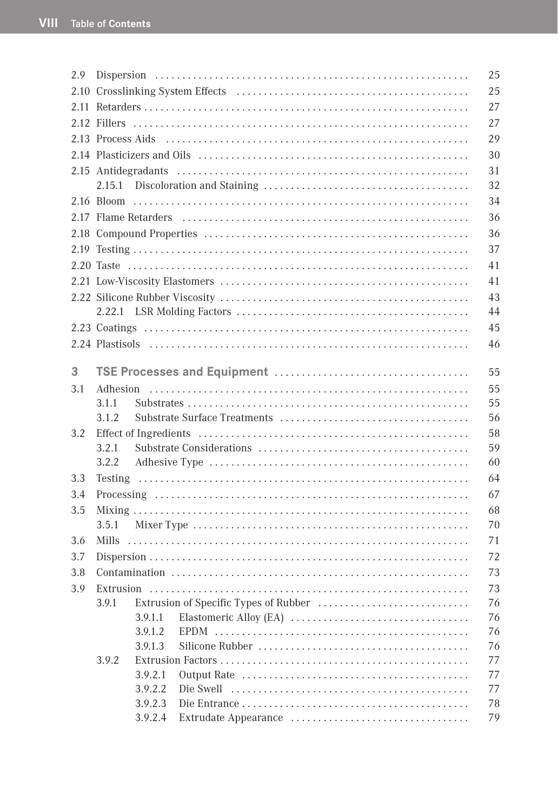|         | 25                                                                                                                                               |
|---------|--------------------------------------------------------------------------------------------------------------------------------------------------|
|         | 25                                                                                                                                               |
|         | 27                                                                                                                                               |
|         | 27                                                                                                                                               |
|         | 29                                                                                                                                               |
|         | 30                                                                                                                                               |
|         | 31                                                                                                                                               |
|         | 32                                                                                                                                               |
|         | 34                                                                                                                                               |
|         | 36                                                                                                                                               |
|         | 36                                                                                                                                               |
|         | 37                                                                                                                                               |
|         | 41                                                                                                                                               |
|         | 41                                                                                                                                               |
|         | 43                                                                                                                                               |
|         | 44                                                                                                                                               |
|         | 45                                                                                                                                               |
|         | 46                                                                                                                                               |
|         |                                                                                                                                                  |
|         | 55                                                                                                                                               |
|         | 55                                                                                                                                               |
| 3.1.1   | 55                                                                                                                                               |
| 3.1.2   | 56                                                                                                                                               |
|         | 58                                                                                                                                               |
| 3.2.1   | 59                                                                                                                                               |
|         | 60                                                                                                                                               |
|         | 64                                                                                                                                               |
|         | 67                                                                                                                                               |
|         | 68                                                                                                                                               |
|         | 70                                                                                                                                               |
|         | 71                                                                                                                                               |
|         |                                                                                                                                                  |
|         |                                                                                                                                                  |
|         | 73                                                                                                                                               |
|         | 76                                                                                                                                               |
|         |                                                                                                                                                  |
|         |                                                                                                                                                  |
|         | 77                                                                                                                                               |
|         | 77                                                                                                                                               |
| 3.9.2.2 | 77                                                                                                                                               |
| 3.9.2.3 | 78                                                                                                                                               |
| 3.9.2.4 | 79                                                                                                                                               |
|         | 3.2.2<br>3.5.1<br>72<br>73<br>3.9.1 Extrusion of Specific Types of Rubber<br>3.9.1.1<br>76<br>3.9.1.2<br>76<br>3.9.1.3<br>76<br>3.9.2<br>3.9.2.1 |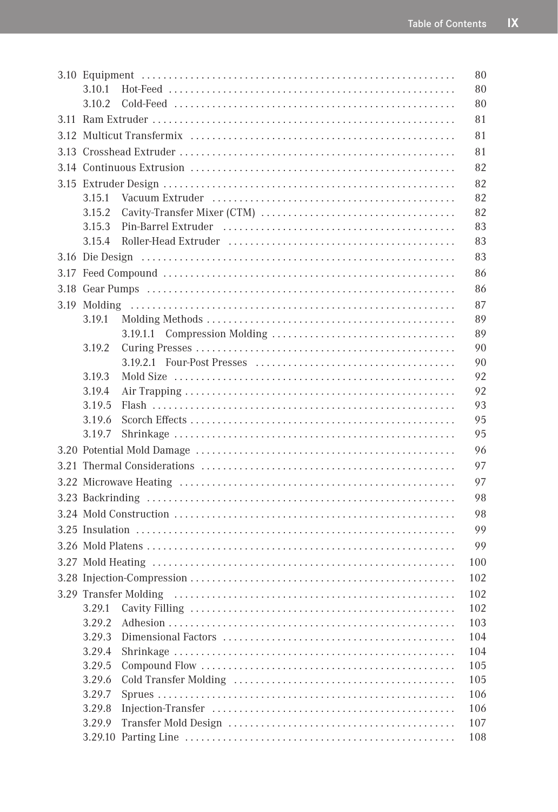| 3.10.1 |  | 80         |  |
|--------|--|------------|--|
| 3.10.2 |  | 80         |  |
|        |  | 81         |  |
| 81     |  |            |  |
|        |  | 81         |  |
|        |  | 82         |  |
|        |  |            |  |
| 3.15.1 |  | 82         |  |
| 3.15.2 |  | 82         |  |
| 3.15.3 |  | 83         |  |
| 3.15.4 |  | 83         |  |
|        |  | 83         |  |
|        |  | 86         |  |
|        |  | 86         |  |
|        |  | 87         |  |
| 3.19.1 |  | 89         |  |
|        |  | 89         |  |
| 3.19.2 |  | 90         |  |
|        |  | 90         |  |
| 3.19.3 |  | 92         |  |
| 3.19.4 |  | 92         |  |
| 3.19.5 |  | 93         |  |
| 3.19.6 |  | 95         |  |
| 3.19.7 |  | 95         |  |
|        |  |            |  |
|        |  |            |  |
| 97     |  |            |  |
| 98     |  |            |  |
|        |  |            |  |
|        |  | 98<br>99   |  |
|        |  | 99         |  |
|        |  | 100        |  |
|        |  | 102        |  |
|        |  |            |  |
|        |  | 102<br>102 |  |
| 3.29.2 |  | 103        |  |
| 3.29.3 |  | 104        |  |
| 3.29.4 |  | 104        |  |
| 3.29.5 |  | 105        |  |
| 3.29.6 |  | 105        |  |
| 3.29.7 |  | 106        |  |
| 3.29.8 |  | 106        |  |
| 3.29.9 |  | 107        |  |
|        |  | 108        |  |
|        |  |            |  |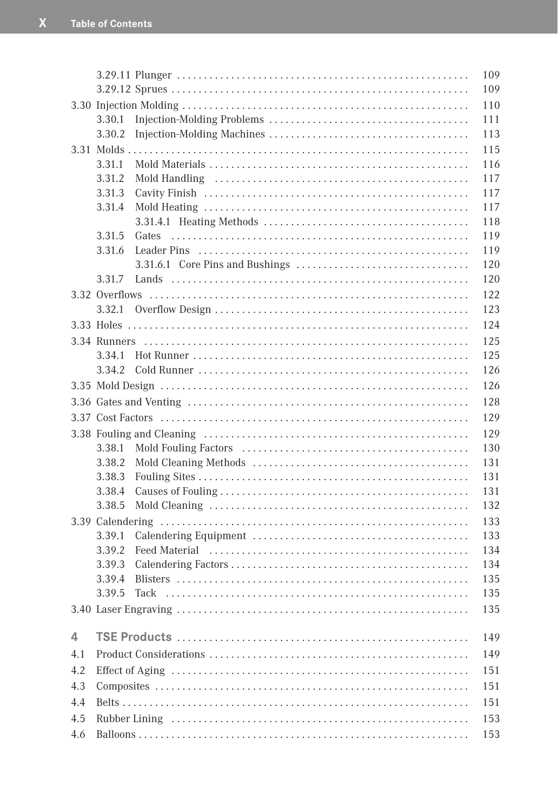|     |        |       | 109 |  |
|-----|--------|-------|-----|--|
|     |        |       | 109 |  |
|     |        |       | 110 |  |
|     | 3.30.1 |       | 111 |  |
|     | 3.30.2 |       | 113 |  |
|     |        |       | 115 |  |
|     | 3.31.1 |       | 116 |  |
|     | 3.31.2 |       | 117 |  |
|     | 3.31.3 |       | 117 |  |
|     | 3.31.4 |       | 117 |  |
|     |        |       | 118 |  |
|     | 3.31.5 | Gates | 119 |  |
|     | 3.31.6 |       | 119 |  |
|     |        |       | 120 |  |
|     | 3.31.7 |       | 120 |  |
|     |        |       | 122 |  |
|     | 3.32.1 |       | 123 |  |
|     |        |       | 124 |  |
|     |        |       | 125 |  |
|     | 3.34.1 |       | 125 |  |
|     | 3.34.2 |       | 126 |  |
|     |        |       | 126 |  |
|     |        |       | 128 |  |
|     |        |       | 129 |  |
|     |        |       | 129 |  |
|     | 3.38.1 |       | 130 |  |
|     | 3.38.2 |       | 131 |  |
|     | 3.38.3 |       | 131 |  |
|     | 3.38.4 |       | 131 |  |
|     | 3.38.5 |       | 132 |  |
|     |        |       | 133 |  |
|     | 3.39.1 |       | 133 |  |
|     | 3.39.2 |       | 134 |  |
|     | 3.39.3 |       | 134 |  |
|     | 3.39.4 |       | 135 |  |
|     | 3.39.5 |       | 135 |  |
|     |        |       | 135 |  |
| 4   |        |       | 149 |  |
| 4.1 |        | 149   |     |  |
| 4.2 |        | 151   |     |  |
| 4.3 |        |       | 151 |  |
| 4.4 |        |       | 151 |  |
| 4.5 |        |       | 153 |  |
| 4.6 |        |       | 153 |  |
|     |        |       |     |  |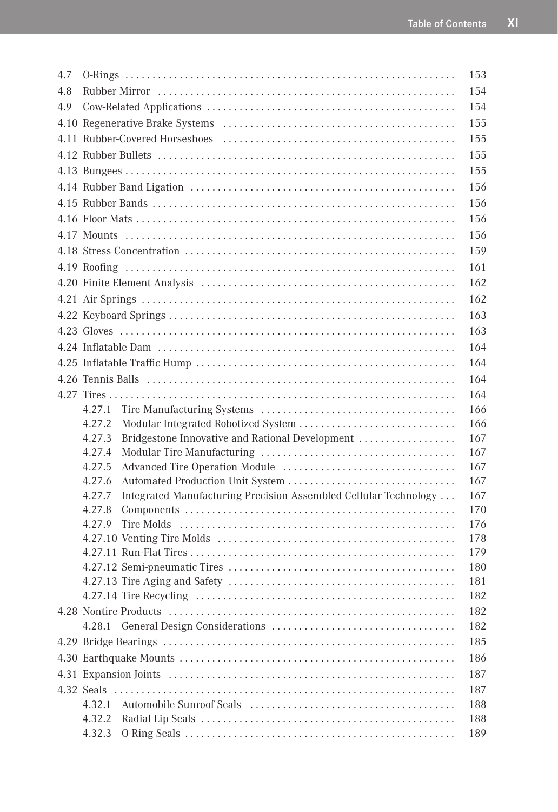| 4.7 |                                                                            | 153        |  |
|-----|----------------------------------------------------------------------------|------------|--|
| 4.8 |                                                                            | 154        |  |
| 4.9 | 154                                                                        |            |  |
|     | 155                                                                        |            |  |
|     |                                                                            | 155        |  |
|     |                                                                            | 155        |  |
|     |                                                                            | 155        |  |
|     |                                                                            | 156        |  |
|     |                                                                            | 156        |  |
|     |                                                                            | 156        |  |
|     |                                                                            | 156        |  |
|     |                                                                            | 159        |  |
|     |                                                                            | 161        |  |
|     |                                                                            | 162        |  |
|     |                                                                            | 162        |  |
|     |                                                                            | 163        |  |
|     |                                                                            | 163        |  |
|     |                                                                            | 164        |  |
|     |                                                                            | 164        |  |
|     |                                                                            | 164        |  |
|     |                                                                            |            |  |
|     | 4.27.1                                                                     | 166        |  |
|     | 4.27.2<br>Modular Integrated Robotized System                              | 166        |  |
|     | Bridgestone Innovative and Rational Development<br>4.27.3                  | 167        |  |
|     | 4.27.4                                                                     | 167        |  |
|     | 4.27.5                                                                     | 167        |  |
|     | 4.27.6                                                                     | 167        |  |
|     | Integrated Manufacturing Precision Assembled Cellular Technology<br>4.27.7 | 167        |  |
|     | 4.27.8                                                                     | 170        |  |
|     | 4.27.9                                                                     | 176        |  |
|     |                                                                            | 178<br>179 |  |
|     |                                                                            | 180        |  |
|     |                                                                            | 181        |  |
|     |                                                                            | 182        |  |
|     |                                                                            | 182        |  |
|     | 4.28.1                                                                     | 182        |  |
|     |                                                                            | 185        |  |
|     | 186                                                                        |            |  |
|     | 187                                                                        |            |  |
|     | 4.32 Seals                                                                 | 187        |  |
|     | 4.32.1                                                                     | 188        |  |
|     | 4.32.2                                                                     | 188        |  |
|     | 4.32.3                                                                     | 189        |  |
|     |                                                                            |            |  |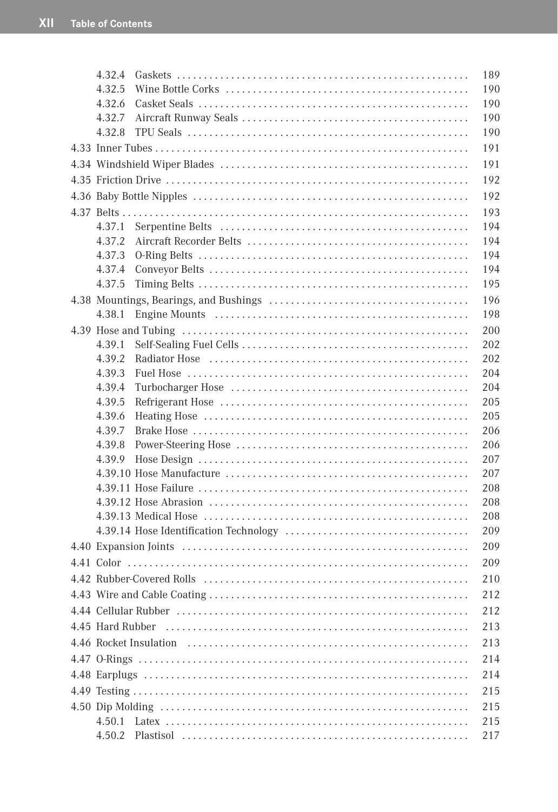| 4.32.4 | 189        |
|--------|------------|
| 4.32.5 | 190        |
| 4.32.6 | 190        |
| 4.32.7 | 190        |
| 4.32.8 | 190        |
|        | 191        |
|        | 191        |
|        | 192        |
|        | 192        |
|        | 193        |
| 4.37.1 | 194        |
| 4.37.2 | 194        |
| 4.37.3 | 194        |
| 4.37.4 | 194        |
| 4.37.5 | 195        |
|        | 196        |
| 4.38.1 | 198        |
|        | 200        |
| 4.39.1 | 202        |
| 4.39.2 | 202        |
| 4.39.3 | 204        |
| 4.39.4 | 204        |
| 4.39.5 | 205        |
| 4.39.6 | 205        |
| 4.39.7 | 206        |
| 4.39.8 | 206        |
| 4.39.9 | 207        |
|        | 207<br>208 |
|        | 208        |
|        | 208        |
|        | 209        |
|        | 209        |
|        | 209        |
|        | 210        |
|        | 212        |
|        |            |
|        | 212        |
|        | 213        |
|        | 213        |
|        | 214        |
|        | 214        |
|        | 215        |
|        | 215        |
| 4.50.1 | 215        |
| 4.50.2 | 217        |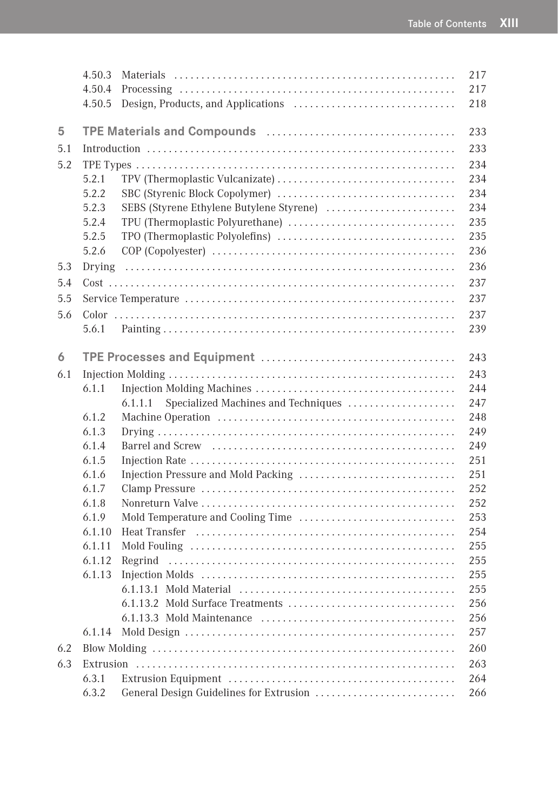|     | 4.50.3 |                                                | 217 |
|-----|--------|------------------------------------------------|-----|
|     | 4.50.4 |                                                | 217 |
|     | 4.50.5 |                                                | 218 |
| 5   |        |                                                | 233 |
| 5.1 |        |                                                | 233 |
| 5.2 |        |                                                | 234 |
|     | 5.2.1  |                                                | 234 |
|     | 5.2.2  |                                                | 234 |
|     | 5.2.3  | SEBS (Styrene Ethylene Butylene Styrene)       | 234 |
|     | 5.2.4  |                                                | 235 |
|     | 5.2.5  |                                                | 235 |
|     | 5.2.6  |                                                | 236 |
| 5.3 | Drying |                                                | 236 |
| 5.4 |        |                                                | 237 |
| 5.5 |        |                                                | 237 |
| 5.6 |        |                                                | 237 |
|     | 5.6.1  |                                                | 239 |
| 6   |        |                                                | 243 |
| 6.1 |        |                                                | 243 |
|     | 6.1.1  |                                                | 244 |
|     |        | Specialized Machines and Techniques<br>6.1.1.1 | 247 |
|     | 6.1.2  |                                                | 248 |
|     | 6.1.3  |                                                | 249 |
|     | 6.1.4  |                                                | 249 |
|     | 6.1.5  |                                                | 251 |
|     | 6.1.6  |                                                | 251 |
|     | 6.1.7  |                                                | 252 |
|     | 6.1.8  |                                                | 252 |
|     | 6.1.9  |                                                | 253 |
|     | 6.1.10 |                                                | 254 |
|     | 6.1.11 |                                                | 255 |
|     | 6.1.12 |                                                | 255 |
|     | 6.1.13 |                                                | 255 |
|     |        |                                                | 255 |
|     |        |                                                | 256 |
|     |        |                                                | 256 |
|     | 6.1.14 |                                                | 257 |
| 6.2 |        |                                                | 260 |
| 6.3 |        |                                                | 263 |
|     | 6.3.1  |                                                | 264 |
|     | 6.3.2  | General Design Guidelines for Extrusion        | 266 |